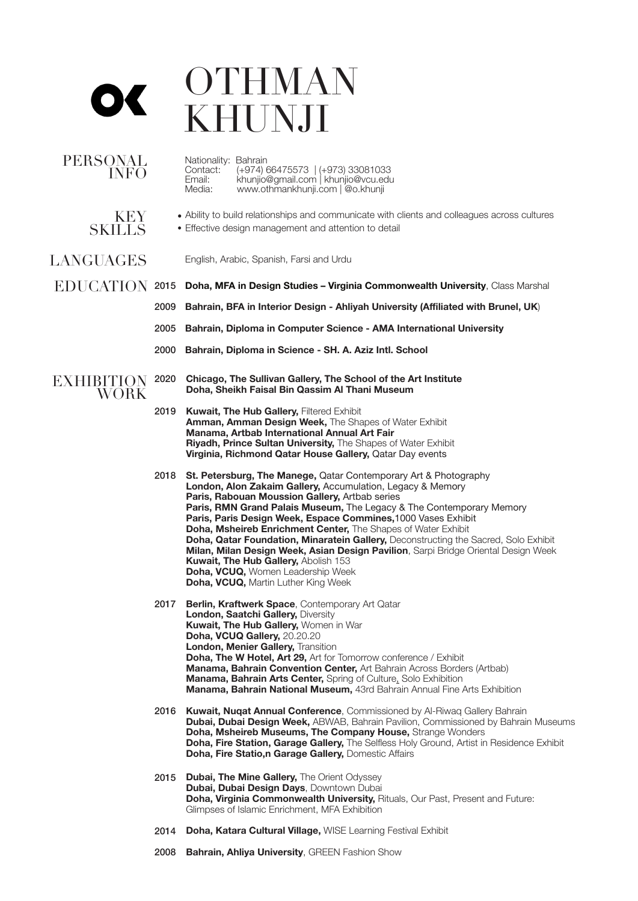## **OTHMAN** KHUNJI

| <b>PERSONAL</b><br><b>INFO</b> |      | Nationality: Bahrain<br>(+974) 66475573   (+973) 33081033<br>Contact:<br>Email:<br>khunjio@gmail.com   khunjio@vcu.edu<br>www.othmankhunji.com   @o.khunji<br>Media:                                                                                                                                                                                                                                                                                                                                                                                                                                                                                                                        |
|--------------------------------|------|---------------------------------------------------------------------------------------------------------------------------------------------------------------------------------------------------------------------------------------------------------------------------------------------------------------------------------------------------------------------------------------------------------------------------------------------------------------------------------------------------------------------------------------------------------------------------------------------------------------------------------------------------------------------------------------------|
| KEY<br><b>SKILLS</b>           |      | • Ability to build relationships and communicate with clients and colleagues across cultures<br>• Effective design management and attention to detail                                                                                                                                                                                                                                                                                                                                                                                                                                                                                                                                       |
| <b>LANGUAGES</b>               |      | English, Arabic, Spanish, Farsi and Urdu                                                                                                                                                                                                                                                                                                                                                                                                                                                                                                                                                                                                                                                    |
|                                |      | $EDUCATION$ 2015 Doha, MFA in Design Studies - Virginia Commonwealth University, Class Marshal                                                                                                                                                                                                                                                                                                                                                                                                                                                                                                                                                                                              |
|                                | 2009 | Bahrain, BFA in Interior Design - Ahliyah University (Affiliated with Brunel, UK)                                                                                                                                                                                                                                                                                                                                                                                                                                                                                                                                                                                                           |
|                                | 2005 | Bahrain, Diploma in Computer Science - AMA International University                                                                                                                                                                                                                                                                                                                                                                                                                                                                                                                                                                                                                         |
|                                |      | 2000 Bahrain, Diploma in Science - SH. A. Aziz Intl. School                                                                                                                                                                                                                                                                                                                                                                                                                                                                                                                                                                                                                                 |
| <b>EXHIBITION</b><br>WORK      | 2020 | Chicago, The Sullivan Gallery, The School of the Art Institute<br>Doha, Sheikh Faisal Bin Qassim Al Thani Museum                                                                                                                                                                                                                                                                                                                                                                                                                                                                                                                                                                            |
|                                | 2019 | <b>Kuwait, The Hub Gallery, Filtered Exhibit</b><br>Amman, Amman Design Week, The Shapes of Water Exhibit<br>Manama, Artbab International Annual Art Fair<br>Riyadh, Prince Sultan University, The Shapes of Water Exhibit<br>Virginia, Richmond Qatar House Gallery, Qatar Day events                                                                                                                                                                                                                                                                                                                                                                                                      |
|                                | 2018 | St. Petersburg, The Manege, Qatar Contemporary Art & Photography<br>London, Alon Zakaim Gallery, Accumulation, Legacy & Memory<br>Paris, Rabouan Moussion Gallery, Artbab series<br>Paris, RMN Grand Palais Museum, The Legacy & The Contemporary Memory<br>Paris, Paris Design Week, Espace Commines, 1000 Vases Exhibit<br>Doha, Msheireb Enrichment Center, The Shapes of Water Exhibit<br>Doha, Qatar Foundation, Minaratein Gallery, Deconstructing the Sacred, Solo Exhibit<br>Milan, Milan Design Week, Asian Design Pavilion, Sarpi Bridge Oriental Design Week<br>Kuwait, The Hub Gallery, Abolish 153<br>Doha, VCUQ, Women Leadership Week<br>Doha, VCUQ, Martin Luther King Week |
|                                | 2017 | Berlin, Kraftwerk Space, Contemporary Art Qatar<br><b>London, Saatchi Gallery, Diversity</b><br>Kuwait, The Hub Gallery, Women in War<br>Doha, VCUQ Gallery, 20.20.20<br>London, Menier Gallery, Transition<br><b>Doha, The W Hotel, Art 29, Art for Tomorrow conference / Exhibit</b><br><b>Manama, Bahrain Convention Center, Art Bahrain Across Borders (Artbab)</b><br>Manama, Bahrain Arts Center, Spring of Culture, Solo Exhibition<br><b>Manama, Bahrain National Museum, 43rd Bahrain Annual Fine Arts Exhibition</b>                                                                                                                                                              |
|                                | 2016 | <b>Kuwait, Nuqat Annual Conference, Commissioned by Al-Riwaq Gallery Bahrain</b><br>Dubai, Dubai Design Week, ABWAB, Bahrain Pavilion, Commissioned by Bahrain Museums<br>Doha, Msheireb Museums, The Company House, Strange Wonders<br>Doha, Fire Station, Garage Gallery, The Selfless Holy Ground, Artist in Residence Exhibit<br>Doha, Fire Statio,n Garage Gallery, Domestic Affairs                                                                                                                                                                                                                                                                                                   |
|                                | 2015 | <b>Dubai, The Mine Gallery, The Orient Odyssey</b><br>Dubai, Dubai Design Days, Downtown Dubai<br>Doha, Virginia Commonwealth University, Rituals, Our Past, Present and Future:<br>Glimpses of Islamic Enrichment, MFA Exhibition                                                                                                                                                                                                                                                                                                                                                                                                                                                          |
|                                | 2014 | <b>Doha, Katara Cultural Village, WISE Learning Festival Exhibit</b>                                                                                                                                                                                                                                                                                                                                                                                                                                                                                                                                                                                                                        |
|                                | 2008 | Bahrain, Ahliya University, GREEN Fashion Show                                                                                                                                                                                                                                                                                                                                                                                                                                                                                                                                                                                                                                              |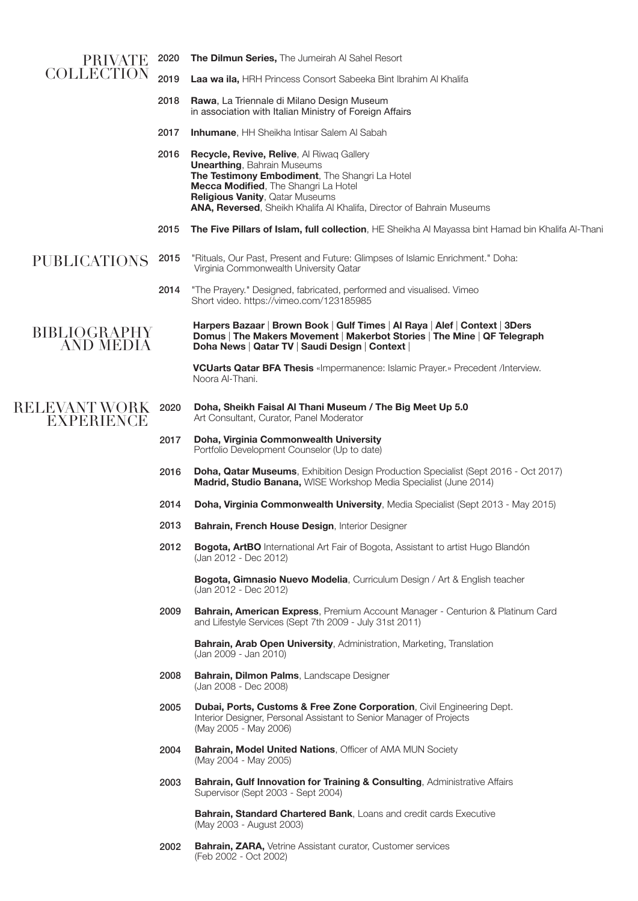| PRIVATE                                   | 2020 | <b>The Dilmun Series, The Jumeirah AI Sahel Resort</b>                                                                                                                                                                                                                                |
|-------------------------------------------|------|---------------------------------------------------------------------------------------------------------------------------------------------------------------------------------------------------------------------------------------------------------------------------------------|
| <b>COLLECTION</b>                         | 2019 | Laa wa ila, HRH Princess Consort Sabeeka Bint Ibrahim Al Khalifa                                                                                                                                                                                                                      |
|                                           | 2018 | Rawa, La Triennale di Milano Design Museum<br>in association with Italian Ministry of Foreign Affairs                                                                                                                                                                                 |
|                                           | 2017 | <b>Inhumane, HH Sheikha Intisar Salem AI Sabah</b>                                                                                                                                                                                                                                    |
|                                           | 2016 | Recycle, Revive, Relive, Al Riwaq Gallery<br><b>Unearthing, Bahrain Museums</b><br>The Testimony Embodiment, The Shangri La Hotel<br>Mecca Modified, The Shangri La Hotel<br>Religious Vanity, Qatar Museums<br>ANA, Reversed, Sheikh Khalifa Al Khalifa, Director of Bahrain Museums |
|                                           | 2015 | The Five Pillars of Islam, full collection, HE Sheikha Al Mayassa bint Hamad bin Khalifa Al-Thani                                                                                                                                                                                     |
| <b>PUBLICATIONS</b>                       | 2015 | "Rituals, Our Past, Present and Future: Glimpses of Islamic Enrichment." Doha:<br>Virginia Commonwealth University Qatar                                                                                                                                                              |
|                                           | 2014 | "The Prayery." Designed, fabricated, performed and visualised. Vimeo<br>Short video. https://vimeo.com/123185985                                                                                                                                                                      |
| <b>BIBLIOGRAPHY</b><br><b>AND MEDIA</b>   |      | Harpers Bazaar   Brown Book   Gulf Times   Al Raya   Alef   Context   3Ders<br>Domus   The Makers Movement   Makerbot Stories   The Mine   QF Telegraph<br>Doha News   Qatar TV   Saudi Design   Context                                                                              |
|                                           |      | <b>VCUarts Qatar BFA Thesis</b> «Impermanence: Islamic Prayer.» Precedent /Interview.<br>Noora Al-Thani.                                                                                                                                                                              |
| <b>RELEVANT WORK</b><br><b>EXPERIENCE</b> | 2020 | Doha, Sheikh Faisal Al Thani Museum / The Big Meet Up 5.0<br>Art Consultant, Curator, Panel Moderator                                                                                                                                                                                 |
|                                           | 2017 | Doha, Virginia Commonwealth University<br>Portfolio Development Counselor (Up to date)                                                                                                                                                                                                |
|                                           | 2016 | Doha, Qatar Museums, Exhibition Design Production Specialist (Sept 2016 - Oct 2017)<br>Madrid, Studio Banana, WISE Workshop Media Specialist (June 2014)                                                                                                                              |
|                                           | 2014 | Doha, Virginia Commonwealth University, Media Specialist (Sept 2013 - May 2015)                                                                                                                                                                                                       |
|                                           | 2013 | Bahrain, French House Design, Interior Designer                                                                                                                                                                                                                                       |
|                                           | 2012 | <b>Bogota, ArtBO</b> International Art Fair of Bogota, Assistant to artist Hugo Blandón<br>(Jan 2012 - Dec 2012)                                                                                                                                                                      |
|                                           |      | Bogota, Gimnasio Nuevo Modelia, Curriculum Design / Art & English teacher<br>(Jan 2012 - Dec 2012)                                                                                                                                                                                    |
|                                           | 2009 | Bahrain, American Express, Premium Account Manager - Centurion & Platinum Card<br>and Lifestyle Services (Sept 7th 2009 - July 31st 2011)                                                                                                                                             |
|                                           |      | <b>Bahrain, Arab Open University, Administration, Marketing, Translation</b><br>(Jan 2009 - Jan 2010)                                                                                                                                                                                 |
|                                           | 2008 | Bahrain, Dilmon Palms, Landscape Designer<br>(Jan 2008 - Dec 2008)                                                                                                                                                                                                                    |
|                                           | 2005 | Dubai, Ports, Customs & Free Zone Corporation, Civil Engineering Dept.                                                                                                                                                                                                                |

- (May 2005 May 2006)
- Bahrain, Model United Nations, Officer of AMA MUN Society (May 2004 - May 2005) 2004
- Bahrain, Gulf Innovation for Training & Consulting, Administrative Affairs Supervisor (Sept 2003 - Sept 2004) 2003

Interior Designer, Personal Assistant to Senior Manager of Projects

Bahrain, Standard Chartered Bank, Loans and credit cards Executive (May 2003 - August 2003)

Bahrain, ZARA, Vetrine Assistant curator, Customer services (Feb 2002 - Oct 2002) 2002